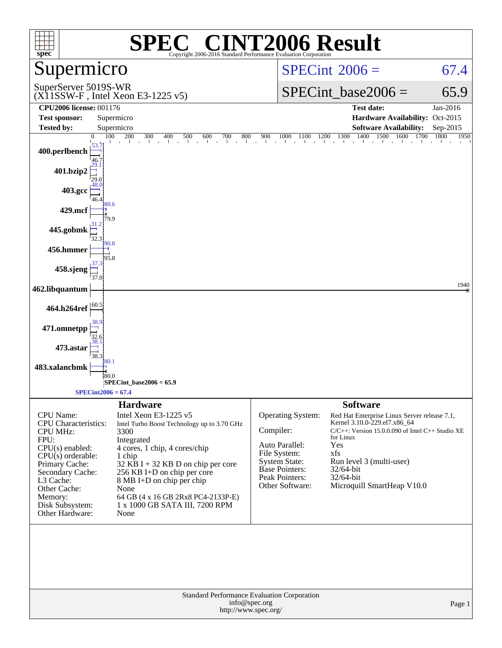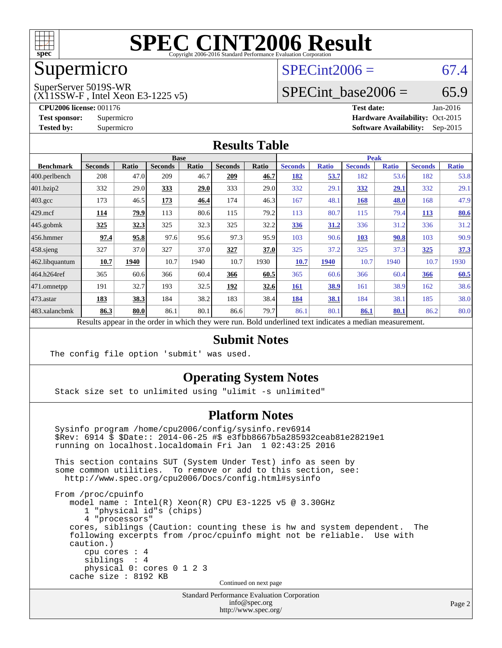

## Supermicro

#### $SPECint2006 = 67.4$  $SPECint2006 = 67.4$

SuperServer 5019S-WR

(X11SSW-F , Intel Xeon E3-1225 v5)

SPECint base2006 =  $65.9$ 

**[CPU2006 license:](http://www.spec.org/auto/cpu2006/Docs/result-fields.html#CPU2006license)** 001176 **[Test date:](http://www.spec.org/auto/cpu2006/Docs/result-fields.html#Testdate)** Jan-2016 **[Test sponsor:](http://www.spec.org/auto/cpu2006/Docs/result-fields.html#Testsponsor)** Supermicro Supermicro **[Hardware Availability:](http://www.spec.org/auto/cpu2006/Docs/result-fields.html#HardwareAvailability)** Oct-2015 **[Tested by:](http://www.spec.org/auto/cpu2006/Docs/result-fields.html#Testedby)** Supermicro **Supermicro [Software Availability:](http://www.spec.org/auto/cpu2006/Docs/result-fields.html#SoftwareAvailability)** Sep-2015

#### **[Results Table](http://www.spec.org/auto/cpu2006/Docs/result-fields.html#ResultsTable)**

|                    | <b>Base</b>    |       |                |       |                |       | <b>Peak</b>    |              |                |              |                |              |
|--------------------|----------------|-------|----------------|-------|----------------|-------|----------------|--------------|----------------|--------------|----------------|--------------|
| <b>Benchmark</b>   | <b>Seconds</b> | Ratio | <b>Seconds</b> | Ratio | <b>Seconds</b> | Ratio | <b>Seconds</b> | <b>Ratio</b> | <b>Seconds</b> | <b>Ratio</b> | <b>Seconds</b> | <b>Ratio</b> |
| 400.perlbench      | 208            | 47.0  | 209            | 46.7  | 209            | 46.7  | 182            | 53.7         | 182            | 53.6         | 182            | 53.8         |
| 401.bzip2          | 332            | 29.0  | 333            | 29.0  | 333            | 29.0  | 332            | 29.1         | 332            | 29.1         | 332            | 29.1         |
| $403.\mathrm{gcc}$ | 173            | 46.5  | 173            | 46.4  | 174            | 46.3  | 167            | 48.1         | <b>168</b>     | 48.0         | 168            | 47.9         |
| $429$ .mcf         | 114            | 79.9  | 113            | 80.6  | 115            | 79.2  | 113            | 80.7         | 115            | 79.4         | 113            | 80.6         |
| $445$ .gobmk       | 325            | 32.3  | 325            | 32.3  | 325            | 32.2  | 336            | 31.2         | 336            | 31.2         | 336            | 31.2         |
| $ 456$ .hmmer      | 97.4           | 95.8  | 97.6           | 95.6  | 97.3           | 95.9  | 103            | 90.6         | <b>103</b>     | 90.8         | 103            | 90.9         |
| $458$ .sjeng       | 327            | 37.0  | 327            | 37.0  | 327            | 37.0  | 325            | 37.2         | 325            | 37.3         | <u>325</u>     | 37.3         |
| 462.libquantum     | 10.7           | 1940  | 10.7           | 1940  | 10.7           | 1930  | <b>10.7</b>    | 1940         | 10.7           | 1940         | 10.7           | 1930         |
| 464.h264ref        | 365            | 60.6  | 366            | 60.4  | 366            | 60.5  | 365            | 60.6         | 366            | 60.4         | 366            | 60.5         |
| 471.omnetpp        | 191            | 32.7  | 193            | 32.5  | 192            | 32.6  | <b>161</b>     | 38.9         | 161            | 38.9         | 162            | 38.6         |
| $473$ . astar      | 183            | 38.3  | 184            | 38.2  | 183            | 38.4  | 184            | 38.1         | 184            | 38.1         | 185            | 38.0         |
| 483.xalancbmk      | 86.3           | 80.0  | 86.1           | 80.1  | 86.6           | 79.7  | 86.1           | 80.1         | 86.1           | 80.1         | 86.2           | 80.0         |
|                    |                |       |                |       |                |       |                |              |                |              |                |              |

Results appear in the [order in which they were run.](http://www.spec.org/auto/cpu2006/Docs/result-fields.html#RunOrder) Bold underlined text [indicates a median measurement.](http://www.spec.org/auto/cpu2006/Docs/result-fields.html#Median)

#### **[Submit Notes](http://www.spec.org/auto/cpu2006/Docs/result-fields.html#SubmitNotes)**

The config file option 'submit' was used.

cache size : 8192 KB

#### **[Operating System Notes](http://www.spec.org/auto/cpu2006/Docs/result-fields.html#OperatingSystemNotes)**

Stack size set to unlimited using "ulimit -s unlimited"

#### **[Platform Notes](http://www.spec.org/auto/cpu2006/Docs/result-fields.html#PlatformNotes)**

 Sysinfo program /home/cpu2006/config/sysinfo.rev6914 \$Rev: 6914 \$ \$Date:: 2014-06-25 #\$ e3fbb8667b5a285932ceab81e28219e1 running on localhost.localdomain Fri Jan 1 02:43:25 2016 This section contains SUT (System Under Test) info as seen by some common utilities. To remove or add to this section, see: <http://www.spec.org/cpu2006/Docs/config.html#sysinfo> From /proc/cpuinfo model name : Intel(R) Xeon(R) CPU E3-1225 v5 @ 3.30GHz 1 "physical id"s (chips) 4 "processors" cores, siblings (Caution: counting these is hw and system dependent. The following excerpts from /proc/cpuinfo might not be reliable. Use with caution.) cpu cores : 4 siblings : 4 physical 0: cores 0 1 2 3

Continued on next page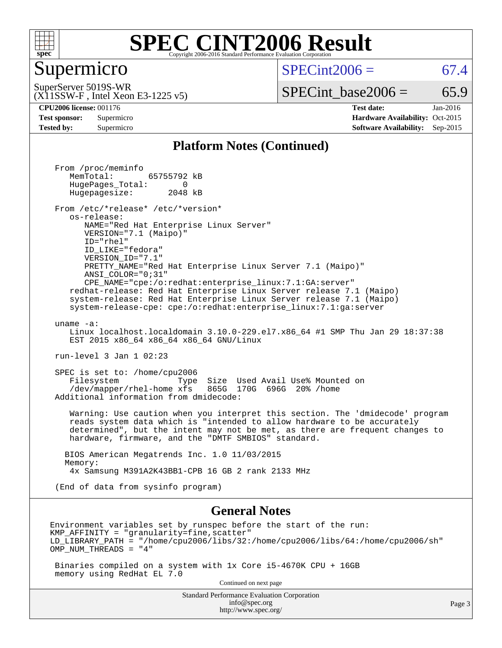

#### **[SPEC CINT2006 Result](http://www.spec.org/auto/cpu2006/Docs/result-fields.html#SPECCINT2006Result)** Copyright 2006-2016 Standard Performance Evaluation C

#### Supermicro

 $SPECint2006 = 67.4$  $SPECint2006 = 67.4$ 

(X11SSW-F , Intel Xeon E3-1225 v5) SuperServer 5019S-WR

 $SPECTnt\_base2006 = 65.9$ 

**[CPU2006 license:](http://www.spec.org/auto/cpu2006/Docs/result-fields.html#CPU2006license)** 001176 **[Test date:](http://www.spec.org/auto/cpu2006/Docs/result-fields.html#Testdate)** Jan-2016 **[Test sponsor:](http://www.spec.org/auto/cpu2006/Docs/result-fields.html#Testsponsor)** Supermicro Supermicro **[Hardware Availability:](http://www.spec.org/auto/cpu2006/Docs/result-fields.html#HardwareAvailability)** Oct-2015 **[Tested by:](http://www.spec.org/auto/cpu2006/Docs/result-fields.html#Testedby)** Supermicro **[Software Availability:](http://www.spec.org/auto/cpu2006/Docs/result-fields.html#SoftwareAvailability)** Sep-2015

#### **[Platform Notes \(Continued\)](http://www.spec.org/auto/cpu2006/Docs/result-fields.html#PlatformNotes)**

Standard Performance Evaluation Corporation From /proc/meminfo MemTotal: 65755792 kB HugePages\_Total: 0<br>Hugepagesize: 2048 kB Hugepagesize: From /etc/\*release\* /etc/\*version\* os-release: NAME="Red Hat Enterprise Linux Server" VERSION="7.1 (Maipo)" ID="rhel" ID\_LIKE="fedora" VERSION\_ID="7.1" PRETTY\_NAME="Red Hat Enterprise Linux Server 7.1 (Maipo)" ANSI\_COLOR="0;31" CPE\_NAME="cpe:/o:redhat:enterprise\_linux:7.1:GA:server" redhat-release: Red Hat Enterprise Linux Server release 7.1 (Maipo) system-release: Red Hat Enterprise Linux Server release 7.1 (Maipo) system-release-cpe: cpe:/o:redhat:enterprise\_linux:7.1:ga:server uname -a: Linux localhost.localdomain 3.10.0-229.el7.x86\_64 #1 SMP Thu Jan 29 18:37:38 EST 2015 x86\_64 x86\_64 x86\_64 GNU/Linux run-level 3 Jan 1 02:23 SPEC is set to: /home/cpu2006 Filesystem Type Size Used Avail Use% Mounted on /dev/mapper/rhel-home xfs 865G 170G 696G 20% /home Additional information from dmidecode: Warning: Use caution when you interpret this section. The 'dmidecode' program reads system data which is "intended to allow hardware to be accurately determined", but the intent may not be met, as there are frequent changes to hardware, firmware, and the "DMTF SMBIOS" standard. BIOS American Megatrends Inc. 1.0 11/03/2015 Memory: 4x Samsung M391A2K43BB1-CPB 16 GB 2 rank 2133 MHz (End of data from sysinfo program) **[General Notes](http://www.spec.org/auto/cpu2006/Docs/result-fields.html#GeneralNotes)** Environment variables set by runspec before the start of the run:  $KMP$  AFFINITY = "granularity=fine, scatter" LD\_LIBRARY\_PATH = "/home/cpu2006/libs/32:/home/cpu2006/libs/64:/home/cpu2006/sh" OMP\_NUM\_THREADS = "4" Binaries compiled on a system with 1x Core i5-4670K CPU + 16GB memory using RedHat EL 7.0 Continued on next page

> [info@spec.org](mailto:info@spec.org) <http://www.spec.org/>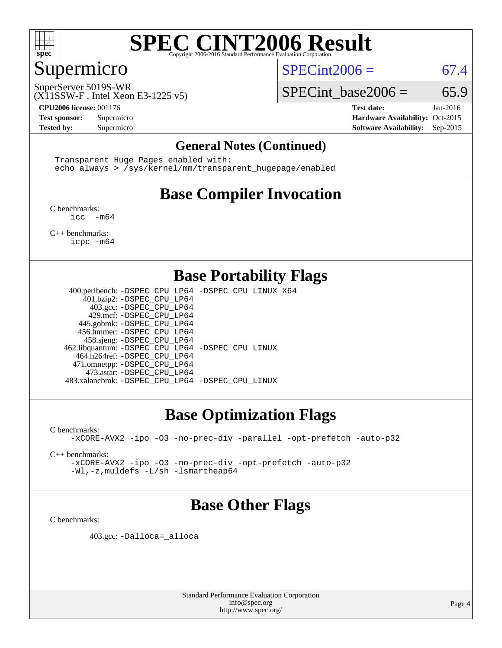

### Supermicro

 $SPECint2006 = 67.4$  $SPECint2006 = 67.4$ 

SuperServer 5019S-WR

SPECint base2006 =  $65.9$ 

(X11SSW-F , Intel Xeon E3-1225 v5)

**[CPU2006 license:](http://www.spec.org/auto/cpu2006/Docs/result-fields.html#CPU2006license)** 001176 **[Test date:](http://www.spec.org/auto/cpu2006/Docs/result-fields.html#Testdate)** Jan-2016 **[Test sponsor:](http://www.spec.org/auto/cpu2006/Docs/result-fields.html#Testsponsor)** Supermicro Supermicro **[Hardware Availability:](http://www.spec.org/auto/cpu2006/Docs/result-fields.html#HardwareAvailability)** Oct-2015 **[Tested by:](http://www.spec.org/auto/cpu2006/Docs/result-fields.html#Testedby)** Supermicro **Supermicro [Software Availability:](http://www.spec.org/auto/cpu2006/Docs/result-fields.html#SoftwareAvailability)** Sep-2015

#### **[General Notes \(Continued\)](http://www.spec.org/auto/cpu2006/Docs/result-fields.html#GeneralNotes)**

 Transparent Huge Pages enabled with: echo always > /sys/kernel/mm/transparent\_hugepage/enabled

## **[Base Compiler Invocation](http://www.spec.org/auto/cpu2006/Docs/result-fields.html#BaseCompilerInvocation)**

[C benchmarks](http://www.spec.org/auto/cpu2006/Docs/result-fields.html#Cbenchmarks): [icc -m64](http://www.spec.org/cpu2006/results/res2016q1/cpu2006-20160106-38574.flags.html#user_CCbase_intel_icc_64bit_f346026e86af2a669e726fe758c88044)

[C++ benchmarks:](http://www.spec.org/auto/cpu2006/Docs/result-fields.html#CXXbenchmarks) [icpc -m64](http://www.spec.org/cpu2006/results/res2016q1/cpu2006-20160106-38574.flags.html#user_CXXbase_intel_icpc_64bit_fc66a5337ce925472a5c54ad6a0de310)

#### **[Base Portability Flags](http://www.spec.org/auto/cpu2006/Docs/result-fields.html#BasePortabilityFlags)**

 400.perlbench: [-DSPEC\\_CPU\\_LP64](http://www.spec.org/cpu2006/results/res2016q1/cpu2006-20160106-38574.flags.html#b400.perlbench_basePORTABILITY_DSPEC_CPU_LP64) [-DSPEC\\_CPU\\_LINUX\\_X64](http://www.spec.org/cpu2006/results/res2016q1/cpu2006-20160106-38574.flags.html#b400.perlbench_baseCPORTABILITY_DSPEC_CPU_LINUX_X64) 401.bzip2: [-DSPEC\\_CPU\\_LP64](http://www.spec.org/cpu2006/results/res2016q1/cpu2006-20160106-38574.flags.html#suite_basePORTABILITY401_bzip2_DSPEC_CPU_LP64) 403.gcc: [-DSPEC\\_CPU\\_LP64](http://www.spec.org/cpu2006/results/res2016q1/cpu2006-20160106-38574.flags.html#suite_basePORTABILITY403_gcc_DSPEC_CPU_LP64) 429.mcf: [-DSPEC\\_CPU\\_LP64](http://www.spec.org/cpu2006/results/res2016q1/cpu2006-20160106-38574.flags.html#suite_basePORTABILITY429_mcf_DSPEC_CPU_LP64) 445.gobmk: [-DSPEC\\_CPU\\_LP64](http://www.spec.org/cpu2006/results/res2016q1/cpu2006-20160106-38574.flags.html#suite_basePORTABILITY445_gobmk_DSPEC_CPU_LP64) 456.hmmer: [-DSPEC\\_CPU\\_LP64](http://www.spec.org/cpu2006/results/res2016q1/cpu2006-20160106-38574.flags.html#suite_basePORTABILITY456_hmmer_DSPEC_CPU_LP64) 458.sjeng: [-DSPEC\\_CPU\\_LP64](http://www.spec.org/cpu2006/results/res2016q1/cpu2006-20160106-38574.flags.html#suite_basePORTABILITY458_sjeng_DSPEC_CPU_LP64) 462.libquantum: [-DSPEC\\_CPU\\_LP64](http://www.spec.org/cpu2006/results/res2016q1/cpu2006-20160106-38574.flags.html#suite_basePORTABILITY462_libquantum_DSPEC_CPU_LP64) [-DSPEC\\_CPU\\_LINUX](http://www.spec.org/cpu2006/results/res2016q1/cpu2006-20160106-38574.flags.html#b462.libquantum_baseCPORTABILITY_DSPEC_CPU_LINUX) 464.h264ref: [-DSPEC\\_CPU\\_LP64](http://www.spec.org/cpu2006/results/res2016q1/cpu2006-20160106-38574.flags.html#suite_basePORTABILITY464_h264ref_DSPEC_CPU_LP64) 471.omnetpp: [-DSPEC\\_CPU\\_LP64](http://www.spec.org/cpu2006/results/res2016q1/cpu2006-20160106-38574.flags.html#suite_basePORTABILITY471_omnetpp_DSPEC_CPU_LP64) 473.astar: [-DSPEC\\_CPU\\_LP64](http://www.spec.org/cpu2006/results/res2016q1/cpu2006-20160106-38574.flags.html#suite_basePORTABILITY473_astar_DSPEC_CPU_LP64) 483.xalancbmk: [-DSPEC\\_CPU\\_LP64](http://www.spec.org/cpu2006/results/res2016q1/cpu2006-20160106-38574.flags.html#suite_basePORTABILITY483_xalancbmk_DSPEC_CPU_LP64) [-DSPEC\\_CPU\\_LINUX](http://www.spec.org/cpu2006/results/res2016q1/cpu2006-20160106-38574.flags.html#b483.xalancbmk_baseCXXPORTABILITY_DSPEC_CPU_LINUX)

### **[Base Optimization Flags](http://www.spec.org/auto/cpu2006/Docs/result-fields.html#BaseOptimizationFlags)**

[C benchmarks](http://www.spec.org/auto/cpu2006/Docs/result-fields.html#Cbenchmarks):

[-xCORE-AVX2](http://www.spec.org/cpu2006/results/res2016q1/cpu2006-20160106-38574.flags.html#user_CCbase_f-xAVX2_5f5fc0cbe2c9f62c816d3e45806c70d7) [-ipo](http://www.spec.org/cpu2006/results/res2016q1/cpu2006-20160106-38574.flags.html#user_CCbase_f-ipo) [-O3](http://www.spec.org/cpu2006/results/res2016q1/cpu2006-20160106-38574.flags.html#user_CCbase_f-O3) [-no-prec-div](http://www.spec.org/cpu2006/results/res2016q1/cpu2006-20160106-38574.flags.html#user_CCbase_f-no-prec-div) [-parallel](http://www.spec.org/cpu2006/results/res2016q1/cpu2006-20160106-38574.flags.html#user_CCbase_f-parallel) [-opt-prefetch](http://www.spec.org/cpu2006/results/res2016q1/cpu2006-20160106-38574.flags.html#user_CCbase_f-opt-prefetch) [-auto-p32](http://www.spec.org/cpu2006/results/res2016q1/cpu2006-20160106-38574.flags.html#user_CCbase_f-auto-p32)

[C++ benchmarks:](http://www.spec.org/auto/cpu2006/Docs/result-fields.html#CXXbenchmarks)

[-xCORE-AVX2](http://www.spec.org/cpu2006/results/res2016q1/cpu2006-20160106-38574.flags.html#user_CXXbase_f-xAVX2_5f5fc0cbe2c9f62c816d3e45806c70d7) [-ipo](http://www.spec.org/cpu2006/results/res2016q1/cpu2006-20160106-38574.flags.html#user_CXXbase_f-ipo) [-O3](http://www.spec.org/cpu2006/results/res2016q1/cpu2006-20160106-38574.flags.html#user_CXXbase_f-O3) [-no-prec-div](http://www.spec.org/cpu2006/results/res2016q1/cpu2006-20160106-38574.flags.html#user_CXXbase_f-no-prec-div) [-opt-prefetch](http://www.spec.org/cpu2006/results/res2016q1/cpu2006-20160106-38574.flags.html#user_CXXbase_f-opt-prefetch) [-auto-p32](http://www.spec.org/cpu2006/results/res2016q1/cpu2006-20160106-38574.flags.html#user_CXXbase_f-auto-p32) [-Wl,-z,muldefs](http://www.spec.org/cpu2006/results/res2016q1/cpu2006-20160106-38574.flags.html#user_CXXbase_link_force_multiple1_74079c344b956b9658436fd1b6dd3a8a) [-L/sh -lsmartheap64](http://www.spec.org/cpu2006/results/res2016q1/cpu2006-20160106-38574.flags.html#user_CXXbase_SmartHeap64_ed4ef857ce90951921efb0d91eb88472)

### **[Base Other Flags](http://www.spec.org/auto/cpu2006/Docs/result-fields.html#BaseOtherFlags)**

[C benchmarks](http://www.spec.org/auto/cpu2006/Docs/result-fields.html#Cbenchmarks):

403.gcc: [-Dalloca=\\_alloca](http://www.spec.org/cpu2006/results/res2016q1/cpu2006-20160106-38574.flags.html#b403.gcc_baseEXTRA_CFLAGS_Dalloca_be3056838c12de2578596ca5467af7f3)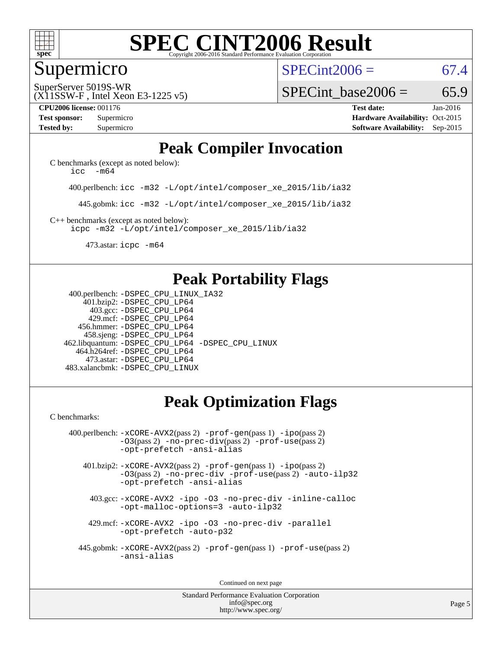

#### Supermicro

 $SPECint2006 = 67.4$  $SPECint2006 = 67.4$ 

(X11SSW-F , Intel Xeon E3-1225 v5) SuperServer 5019S-WR

SPECint base2006 =  $65.9$ 

**[CPU2006 license:](http://www.spec.org/auto/cpu2006/Docs/result-fields.html#CPU2006license)** 001176 **[Test date:](http://www.spec.org/auto/cpu2006/Docs/result-fields.html#Testdate)** Jan-2016 **[Test sponsor:](http://www.spec.org/auto/cpu2006/Docs/result-fields.html#Testsponsor)** Supermicro Supermicro **[Hardware Availability:](http://www.spec.org/auto/cpu2006/Docs/result-fields.html#HardwareAvailability)** Oct-2015 **[Tested by:](http://www.spec.org/auto/cpu2006/Docs/result-fields.html#Testedby)** Supermicro **Supermicro [Software Availability:](http://www.spec.org/auto/cpu2006/Docs/result-fields.html#SoftwareAvailability)** Sep-2015

### **[Peak Compiler Invocation](http://www.spec.org/auto/cpu2006/Docs/result-fields.html#PeakCompilerInvocation)**

[C benchmarks \(except as noted below\)](http://www.spec.org/auto/cpu2006/Docs/result-fields.html#Cbenchmarksexceptasnotedbelow): icc  $-m64$ 

400.perlbench: [icc -m32 -L/opt/intel/composer\\_xe\\_2015/lib/ia32](http://www.spec.org/cpu2006/results/res2016q1/cpu2006-20160106-38574.flags.html#user_peakCCLD400_perlbench_intel_icc_011b86df29f8c679b747245588698a4d)

445.gobmk: [icc -m32 -L/opt/intel/composer\\_xe\\_2015/lib/ia32](http://www.spec.org/cpu2006/results/res2016q1/cpu2006-20160106-38574.flags.html#user_peakCCLD445_gobmk_intel_icc_011b86df29f8c679b747245588698a4d)

[C++ benchmarks \(except as noted below\):](http://www.spec.org/auto/cpu2006/Docs/result-fields.html#CXXbenchmarksexceptasnotedbelow) [icpc -m32 -L/opt/intel/composer\\_xe\\_2015/lib/ia32](http://www.spec.org/cpu2006/results/res2016q1/cpu2006-20160106-38574.flags.html#user_CXXpeak_intel_icpc_c2c99686a1a582c3e0de0b4806b02cea)

473.astar: [icpc -m64](http://www.spec.org/cpu2006/results/res2016q1/cpu2006-20160106-38574.flags.html#user_peakCXXLD473_astar_intel_icpc_64bit_fc66a5337ce925472a5c54ad6a0de310)

## **[Peak Portability Flags](http://www.spec.org/auto/cpu2006/Docs/result-fields.html#PeakPortabilityFlags)**

 400.perlbench: [-DSPEC\\_CPU\\_LINUX\\_IA32](http://www.spec.org/cpu2006/results/res2016q1/cpu2006-20160106-38574.flags.html#b400.perlbench_peakCPORTABILITY_DSPEC_CPU_LINUX_IA32) 401.bzip2: [-DSPEC\\_CPU\\_LP64](http://www.spec.org/cpu2006/results/res2016q1/cpu2006-20160106-38574.flags.html#suite_peakPORTABILITY401_bzip2_DSPEC_CPU_LP64) 403.gcc: [-DSPEC\\_CPU\\_LP64](http://www.spec.org/cpu2006/results/res2016q1/cpu2006-20160106-38574.flags.html#suite_peakPORTABILITY403_gcc_DSPEC_CPU_LP64) 429.mcf: [-DSPEC\\_CPU\\_LP64](http://www.spec.org/cpu2006/results/res2016q1/cpu2006-20160106-38574.flags.html#suite_peakPORTABILITY429_mcf_DSPEC_CPU_LP64) 456.hmmer: [-DSPEC\\_CPU\\_LP64](http://www.spec.org/cpu2006/results/res2016q1/cpu2006-20160106-38574.flags.html#suite_peakPORTABILITY456_hmmer_DSPEC_CPU_LP64) 458.sjeng: [-DSPEC\\_CPU\\_LP64](http://www.spec.org/cpu2006/results/res2016q1/cpu2006-20160106-38574.flags.html#suite_peakPORTABILITY458_sjeng_DSPEC_CPU_LP64) 462.libquantum: [-DSPEC\\_CPU\\_LP64](http://www.spec.org/cpu2006/results/res2016q1/cpu2006-20160106-38574.flags.html#suite_peakPORTABILITY462_libquantum_DSPEC_CPU_LP64) [-DSPEC\\_CPU\\_LINUX](http://www.spec.org/cpu2006/results/res2016q1/cpu2006-20160106-38574.flags.html#b462.libquantum_peakCPORTABILITY_DSPEC_CPU_LINUX) 464.h264ref: [-DSPEC\\_CPU\\_LP64](http://www.spec.org/cpu2006/results/res2016q1/cpu2006-20160106-38574.flags.html#suite_peakPORTABILITY464_h264ref_DSPEC_CPU_LP64) 473.astar: [-DSPEC\\_CPU\\_LP64](http://www.spec.org/cpu2006/results/res2016q1/cpu2006-20160106-38574.flags.html#suite_peakPORTABILITY473_astar_DSPEC_CPU_LP64) 483.xalancbmk: [-DSPEC\\_CPU\\_LINUX](http://www.spec.org/cpu2006/results/res2016q1/cpu2006-20160106-38574.flags.html#b483.xalancbmk_peakCXXPORTABILITY_DSPEC_CPU_LINUX)

# **[Peak Optimization Flags](http://www.spec.org/auto/cpu2006/Docs/result-fields.html#PeakOptimizationFlags)**

[C benchmarks](http://www.spec.org/auto/cpu2006/Docs/result-fields.html#Cbenchmarks):

 400.perlbench: [-xCORE-AVX2](http://www.spec.org/cpu2006/results/res2016q1/cpu2006-20160106-38574.flags.html#user_peakPASS2_CFLAGSPASS2_LDCFLAGS400_perlbench_f-xAVX2_5f5fc0cbe2c9f62c816d3e45806c70d7)(pass 2) [-prof-gen](http://www.spec.org/cpu2006/results/res2016q1/cpu2006-20160106-38574.flags.html#user_peakPASS1_CFLAGSPASS1_LDCFLAGS400_perlbench_prof_gen_e43856698f6ca7b7e442dfd80e94a8fc)(pass 1) [-ipo](http://www.spec.org/cpu2006/results/res2016q1/cpu2006-20160106-38574.flags.html#user_peakPASS2_CFLAGSPASS2_LDCFLAGS400_perlbench_f-ipo)(pass 2) [-O3](http://www.spec.org/cpu2006/results/res2016q1/cpu2006-20160106-38574.flags.html#user_peakPASS2_CFLAGSPASS2_LDCFLAGS400_perlbench_f-O3)(pass 2) [-no-prec-div](http://www.spec.org/cpu2006/results/res2016q1/cpu2006-20160106-38574.flags.html#user_peakPASS2_CFLAGSPASS2_LDCFLAGS400_perlbench_f-no-prec-div)(pass 2) [-prof-use](http://www.spec.org/cpu2006/results/res2016q1/cpu2006-20160106-38574.flags.html#user_peakPASS2_CFLAGSPASS2_LDCFLAGS400_perlbench_prof_use_bccf7792157ff70d64e32fe3e1250b55)(pass 2) [-opt-prefetch](http://www.spec.org/cpu2006/results/res2016q1/cpu2006-20160106-38574.flags.html#user_peakCOPTIMIZE400_perlbench_f-opt-prefetch) [-ansi-alias](http://www.spec.org/cpu2006/results/res2016q1/cpu2006-20160106-38574.flags.html#user_peakCOPTIMIZE400_perlbench_f-ansi-alias)

 401.bzip2: [-xCORE-AVX2](http://www.spec.org/cpu2006/results/res2016q1/cpu2006-20160106-38574.flags.html#user_peakPASS2_CFLAGSPASS2_LDCFLAGS401_bzip2_f-xAVX2_5f5fc0cbe2c9f62c816d3e45806c70d7)(pass 2) [-prof-gen](http://www.spec.org/cpu2006/results/res2016q1/cpu2006-20160106-38574.flags.html#user_peakPASS1_CFLAGSPASS1_LDCFLAGS401_bzip2_prof_gen_e43856698f6ca7b7e442dfd80e94a8fc)(pass 1) [-ipo](http://www.spec.org/cpu2006/results/res2016q1/cpu2006-20160106-38574.flags.html#user_peakPASS2_CFLAGSPASS2_LDCFLAGS401_bzip2_f-ipo)(pass 2) [-O3](http://www.spec.org/cpu2006/results/res2016q1/cpu2006-20160106-38574.flags.html#user_peakPASS2_CFLAGSPASS2_LDCFLAGS401_bzip2_f-O3)(pass 2) [-no-prec-div](http://www.spec.org/cpu2006/results/res2016q1/cpu2006-20160106-38574.flags.html#user_peakCOPTIMIZEPASS2_CFLAGSPASS2_LDCFLAGS401_bzip2_f-no-prec-div) [-prof-use](http://www.spec.org/cpu2006/results/res2016q1/cpu2006-20160106-38574.flags.html#user_peakPASS2_CFLAGSPASS2_LDCFLAGS401_bzip2_prof_use_bccf7792157ff70d64e32fe3e1250b55)(pass 2) [-auto-ilp32](http://www.spec.org/cpu2006/results/res2016q1/cpu2006-20160106-38574.flags.html#user_peakCOPTIMIZE401_bzip2_f-auto-ilp32) [-opt-prefetch](http://www.spec.org/cpu2006/results/res2016q1/cpu2006-20160106-38574.flags.html#user_peakCOPTIMIZE401_bzip2_f-opt-prefetch) [-ansi-alias](http://www.spec.org/cpu2006/results/res2016q1/cpu2006-20160106-38574.flags.html#user_peakCOPTIMIZE401_bzip2_f-ansi-alias)

 403.gcc: [-xCORE-AVX2](http://www.spec.org/cpu2006/results/res2016q1/cpu2006-20160106-38574.flags.html#user_peakCOPTIMIZE403_gcc_f-xAVX2_5f5fc0cbe2c9f62c816d3e45806c70d7) [-ipo](http://www.spec.org/cpu2006/results/res2016q1/cpu2006-20160106-38574.flags.html#user_peakCOPTIMIZE403_gcc_f-ipo) [-O3](http://www.spec.org/cpu2006/results/res2016q1/cpu2006-20160106-38574.flags.html#user_peakCOPTIMIZE403_gcc_f-O3) [-no-prec-div](http://www.spec.org/cpu2006/results/res2016q1/cpu2006-20160106-38574.flags.html#user_peakCOPTIMIZE403_gcc_f-no-prec-div) [-inline-calloc](http://www.spec.org/cpu2006/results/res2016q1/cpu2006-20160106-38574.flags.html#user_peakCOPTIMIZE403_gcc_f-inline-calloc) [-opt-malloc-options=3](http://www.spec.org/cpu2006/results/res2016q1/cpu2006-20160106-38574.flags.html#user_peakCOPTIMIZE403_gcc_f-opt-malloc-options_13ab9b803cf986b4ee62f0a5998c2238) [-auto-ilp32](http://www.spec.org/cpu2006/results/res2016q1/cpu2006-20160106-38574.flags.html#user_peakCOPTIMIZE403_gcc_f-auto-ilp32)

 429.mcf: [-xCORE-AVX2](http://www.spec.org/cpu2006/results/res2016q1/cpu2006-20160106-38574.flags.html#user_peakCOPTIMIZE429_mcf_f-xAVX2_5f5fc0cbe2c9f62c816d3e45806c70d7) [-ipo](http://www.spec.org/cpu2006/results/res2016q1/cpu2006-20160106-38574.flags.html#user_peakCOPTIMIZE429_mcf_f-ipo) [-O3](http://www.spec.org/cpu2006/results/res2016q1/cpu2006-20160106-38574.flags.html#user_peakCOPTIMIZE429_mcf_f-O3) [-no-prec-div](http://www.spec.org/cpu2006/results/res2016q1/cpu2006-20160106-38574.flags.html#user_peakCOPTIMIZE429_mcf_f-no-prec-div) [-parallel](http://www.spec.org/cpu2006/results/res2016q1/cpu2006-20160106-38574.flags.html#user_peakCOPTIMIZE429_mcf_f-parallel) [-opt-prefetch](http://www.spec.org/cpu2006/results/res2016q1/cpu2006-20160106-38574.flags.html#user_peakCOPTIMIZE429_mcf_f-opt-prefetch) [-auto-p32](http://www.spec.org/cpu2006/results/res2016q1/cpu2006-20160106-38574.flags.html#user_peakCOPTIMIZE429_mcf_f-auto-p32)

 445.gobmk: [-xCORE-AVX2](http://www.spec.org/cpu2006/results/res2016q1/cpu2006-20160106-38574.flags.html#user_peakPASS2_CFLAGSPASS2_LDCFLAGS445_gobmk_f-xAVX2_5f5fc0cbe2c9f62c816d3e45806c70d7)(pass 2) [-prof-gen](http://www.spec.org/cpu2006/results/res2016q1/cpu2006-20160106-38574.flags.html#user_peakPASS1_CFLAGSPASS1_LDCFLAGS445_gobmk_prof_gen_e43856698f6ca7b7e442dfd80e94a8fc)(pass 1) [-prof-use](http://www.spec.org/cpu2006/results/res2016q1/cpu2006-20160106-38574.flags.html#user_peakPASS2_CFLAGSPASS2_LDCFLAGS445_gobmk_prof_use_bccf7792157ff70d64e32fe3e1250b55)(pass 2) [-ansi-alias](http://www.spec.org/cpu2006/results/res2016q1/cpu2006-20160106-38574.flags.html#user_peakCOPTIMIZE445_gobmk_f-ansi-alias)

Continued on next page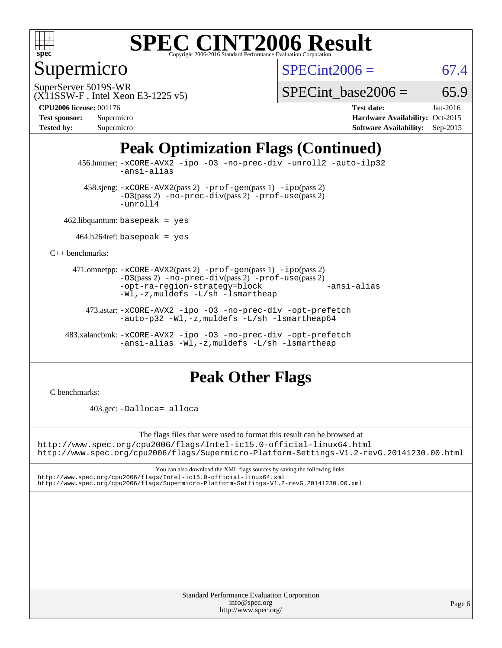

Supermicro

 $SPECint2006 = 67.4$  $SPECint2006 = 67.4$ 

(X11SSW-F , Intel Xeon E3-1225 v5) SuperServer 5019S-WR

SPECint base2006 =  $65.9$ 

| <b>Test sponsor:</b> | Supermicro |
|----------------------|------------|
| <b>Tested by:</b>    | Supermicro |

**[CPU2006 license:](http://www.spec.org/auto/cpu2006/Docs/result-fields.html#CPU2006license)** 001176 **[Test date:](http://www.spec.org/auto/cpu2006/Docs/result-fields.html#Testdate)** Jan-2016 **[Hardware Availability:](http://www.spec.org/auto/cpu2006/Docs/result-fields.html#HardwareAvailability)** Oct-2015 **[Software Availability:](http://www.spec.org/auto/cpu2006/Docs/result-fields.html#SoftwareAvailability)** Sep-2015

# **[Peak Optimization Flags \(Continued\)](http://www.spec.org/auto/cpu2006/Docs/result-fields.html#PeakOptimizationFlags)**

 456.hmmer: [-xCORE-AVX2](http://www.spec.org/cpu2006/results/res2016q1/cpu2006-20160106-38574.flags.html#user_peakCOPTIMIZE456_hmmer_f-xAVX2_5f5fc0cbe2c9f62c816d3e45806c70d7) [-ipo](http://www.spec.org/cpu2006/results/res2016q1/cpu2006-20160106-38574.flags.html#user_peakCOPTIMIZE456_hmmer_f-ipo) [-O3](http://www.spec.org/cpu2006/results/res2016q1/cpu2006-20160106-38574.flags.html#user_peakCOPTIMIZE456_hmmer_f-O3) [-no-prec-div](http://www.spec.org/cpu2006/results/res2016q1/cpu2006-20160106-38574.flags.html#user_peakCOPTIMIZE456_hmmer_f-no-prec-div) [-unroll2](http://www.spec.org/cpu2006/results/res2016q1/cpu2006-20160106-38574.flags.html#user_peakCOPTIMIZE456_hmmer_f-unroll_784dae83bebfb236979b41d2422d7ec2) [-auto-ilp32](http://www.spec.org/cpu2006/results/res2016q1/cpu2006-20160106-38574.flags.html#user_peakCOPTIMIZE456_hmmer_f-auto-ilp32) [-ansi-alias](http://www.spec.org/cpu2006/results/res2016q1/cpu2006-20160106-38574.flags.html#user_peakCOPTIMIZE456_hmmer_f-ansi-alias)

 $458 \text{.}$ sjeng:  $-x \text{CORE-AVX2}(pass 2)$  -prof-qen(pass 1) [-ipo](http://www.spec.org/cpu2006/results/res2016q1/cpu2006-20160106-38574.flags.html#user_peakPASS2_CFLAGSPASS2_LDCFLAGS458_sjeng_f-ipo)(pass 2) [-O3](http://www.spec.org/cpu2006/results/res2016q1/cpu2006-20160106-38574.flags.html#user_peakPASS2_CFLAGSPASS2_LDCFLAGS458_sjeng_f-O3)(pass 2) [-no-prec-div](http://www.spec.org/cpu2006/results/res2016q1/cpu2006-20160106-38574.flags.html#user_peakPASS2_CFLAGSPASS2_LDCFLAGS458_sjeng_f-no-prec-div)(pass 2) [-prof-use](http://www.spec.org/cpu2006/results/res2016q1/cpu2006-20160106-38574.flags.html#user_peakPASS2_CFLAGSPASS2_LDCFLAGS458_sjeng_prof_use_bccf7792157ff70d64e32fe3e1250b55)(pass 2) [-unroll4](http://www.spec.org/cpu2006/results/res2016q1/cpu2006-20160106-38574.flags.html#user_peakCOPTIMIZE458_sjeng_f-unroll_4e5e4ed65b7fd20bdcd365bec371b81f)

462.libquantum: basepeak = yes

 $464.h264$ ref: basepeak = yes

[C++ benchmarks:](http://www.spec.org/auto/cpu2006/Docs/result-fields.html#CXXbenchmarks)

 471.omnetpp: [-xCORE-AVX2](http://www.spec.org/cpu2006/results/res2016q1/cpu2006-20160106-38574.flags.html#user_peakPASS2_CXXFLAGSPASS2_LDCXXFLAGS471_omnetpp_f-xAVX2_5f5fc0cbe2c9f62c816d3e45806c70d7)(pass 2) [-prof-gen](http://www.spec.org/cpu2006/results/res2016q1/cpu2006-20160106-38574.flags.html#user_peakPASS1_CXXFLAGSPASS1_LDCXXFLAGS471_omnetpp_prof_gen_e43856698f6ca7b7e442dfd80e94a8fc)(pass 1) [-ipo](http://www.spec.org/cpu2006/results/res2016q1/cpu2006-20160106-38574.flags.html#user_peakPASS2_CXXFLAGSPASS2_LDCXXFLAGS471_omnetpp_f-ipo)(pass 2) [-O3](http://www.spec.org/cpu2006/results/res2016q1/cpu2006-20160106-38574.flags.html#user_peakPASS2_CXXFLAGSPASS2_LDCXXFLAGS471_omnetpp_f-O3)(pass 2) [-no-prec-div](http://www.spec.org/cpu2006/results/res2016q1/cpu2006-20160106-38574.flags.html#user_peakPASS2_CXXFLAGSPASS2_LDCXXFLAGS471_omnetpp_f-no-prec-div)(pass 2) [-prof-use](http://www.spec.org/cpu2006/results/res2016q1/cpu2006-20160106-38574.flags.html#user_peakPASS2_CXXFLAGSPASS2_LDCXXFLAGS471_omnetpp_prof_use_bccf7792157ff70d64e32fe3e1250b55)(pass 2) [-opt-ra-region-strategy=block](http://www.spec.org/cpu2006/results/res2016q1/cpu2006-20160106-38574.flags.html#user_peakCXXOPTIMIZE471_omnetpp_f-opt-ra-region-strategy_5382940c29ea30302d682fc74bfe0147) [-ansi-alias](http://www.spec.org/cpu2006/results/res2016q1/cpu2006-20160106-38574.flags.html#user_peakCXXOPTIMIZE471_omnetpp_f-ansi-alias) [-Wl,-z,muldefs](http://www.spec.org/cpu2006/results/res2016q1/cpu2006-20160106-38574.flags.html#user_peakEXTRA_LDFLAGS471_omnetpp_link_force_multiple1_74079c344b956b9658436fd1b6dd3a8a) [-L/sh -lsmartheap](http://www.spec.org/cpu2006/results/res2016q1/cpu2006-20160106-38574.flags.html#user_peakEXTRA_LIBS471_omnetpp_SmartHeap_32f6c82aa1ed9c52345d30cf6e4a0499)

 473.astar: [-xCORE-AVX2](http://www.spec.org/cpu2006/results/res2016q1/cpu2006-20160106-38574.flags.html#user_peakCXXOPTIMIZE473_astar_f-xAVX2_5f5fc0cbe2c9f62c816d3e45806c70d7) [-ipo](http://www.spec.org/cpu2006/results/res2016q1/cpu2006-20160106-38574.flags.html#user_peakCXXOPTIMIZE473_astar_f-ipo) [-O3](http://www.spec.org/cpu2006/results/res2016q1/cpu2006-20160106-38574.flags.html#user_peakCXXOPTIMIZE473_astar_f-O3) [-no-prec-div](http://www.spec.org/cpu2006/results/res2016q1/cpu2006-20160106-38574.flags.html#user_peakCXXOPTIMIZE473_astar_f-no-prec-div) [-opt-prefetch](http://www.spec.org/cpu2006/results/res2016q1/cpu2006-20160106-38574.flags.html#user_peakCXXOPTIMIZE473_astar_f-opt-prefetch) [-auto-p32](http://www.spec.org/cpu2006/results/res2016q1/cpu2006-20160106-38574.flags.html#user_peakCXXOPTIMIZE473_astar_f-auto-p32) -Wl,-z, muldefs [-L/sh -lsmartheap64](http://www.spec.org/cpu2006/results/res2016q1/cpu2006-20160106-38574.flags.html#user_peakEXTRA_LIBS473_astar_SmartHeap64_ed4ef857ce90951921efb0d91eb88472)

 483.xalancbmk: [-xCORE-AVX2](http://www.spec.org/cpu2006/results/res2016q1/cpu2006-20160106-38574.flags.html#user_peakCXXOPTIMIZE483_xalancbmk_f-xAVX2_5f5fc0cbe2c9f62c816d3e45806c70d7) [-ipo](http://www.spec.org/cpu2006/results/res2016q1/cpu2006-20160106-38574.flags.html#user_peakCXXOPTIMIZE483_xalancbmk_f-ipo) [-O3](http://www.spec.org/cpu2006/results/res2016q1/cpu2006-20160106-38574.flags.html#user_peakCXXOPTIMIZE483_xalancbmk_f-O3) [-no-prec-div](http://www.spec.org/cpu2006/results/res2016q1/cpu2006-20160106-38574.flags.html#user_peakCXXOPTIMIZE483_xalancbmk_f-no-prec-div) [-opt-prefetch](http://www.spec.org/cpu2006/results/res2016q1/cpu2006-20160106-38574.flags.html#user_peakCXXOPTIMIZE483_xalancbmk_f-opt-prefetch) [-ansi-alias](http://www.spec.org/cpu2006/results/res2016q1/cpu2006-20160106-38574.flags.html#user_peakCXXOPTIMIZE483_xalancbmk_f-ansi-alias) [-Wl,-z,muldefs](http://www.spec.org/cpu2006/results/res2016q1/cpu2006-20160106-38574.flags.html#user_peakEXTRA_LDFLAGS483_xalancbmk_link_force_multiple1_74079c344b956b9658436fd1b6dd3a8a) [-L/sh -lsmartheap](http://www.spec.org/cpu2006/results/res2016q1/cpu2006-20160106-38574.flags.html#user_peakEXTRA_LIBS483_xalancbmk_SmartHeap_32f6c82aa1ed9c52345d30cf6e4a0499)

#### **[Peak Other Flags](http://www.spec.org/auto/cpu2006/Docs/result-fields.html#PeakOtherFlags)**

[C benchmarks](http://www.spec.org/auto/cpu2006/Docs/result-fields.html#Cbenchmarks):

403.gcc: [-Dalloca=\\_alloca](http://www.spec.org/cpu2006/results/res2016q1/cpu2006-20160106-38574.flags.html#b403.gcc_peakEXTRA_CFLAGS_Dalloca_be3056838c12de2578596ca5467af7f3)

The flags files that were used to format this result can be browsed at

<http://www.spec.org/cpu2006/flags/Intel-ic15.0-official-linux64.html> <http://www.spec.org/cpu2006/flags/Supermicro-Platform-Settings-V1.2-revG.20141230.00.html>

You can also download the XML flags sources by saving the following links: <http://www.spec.org/cpu2006/flags/Intel-ic15.0-official-linux64.xml> <http://www.spec.org/cpu2006/flags/Supermicro-Platform-Settings-V1.2-revG.20141230.00.xml>